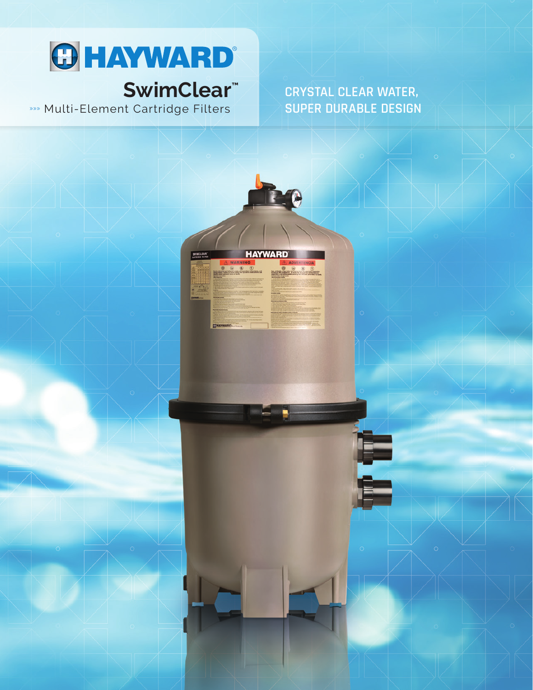

# SwimClear<sup>™</sup>

»» Multi-Element Cartridge Filters

**CRYSTAL CLEAR WATER, SUPER DURABLE DESIGN**